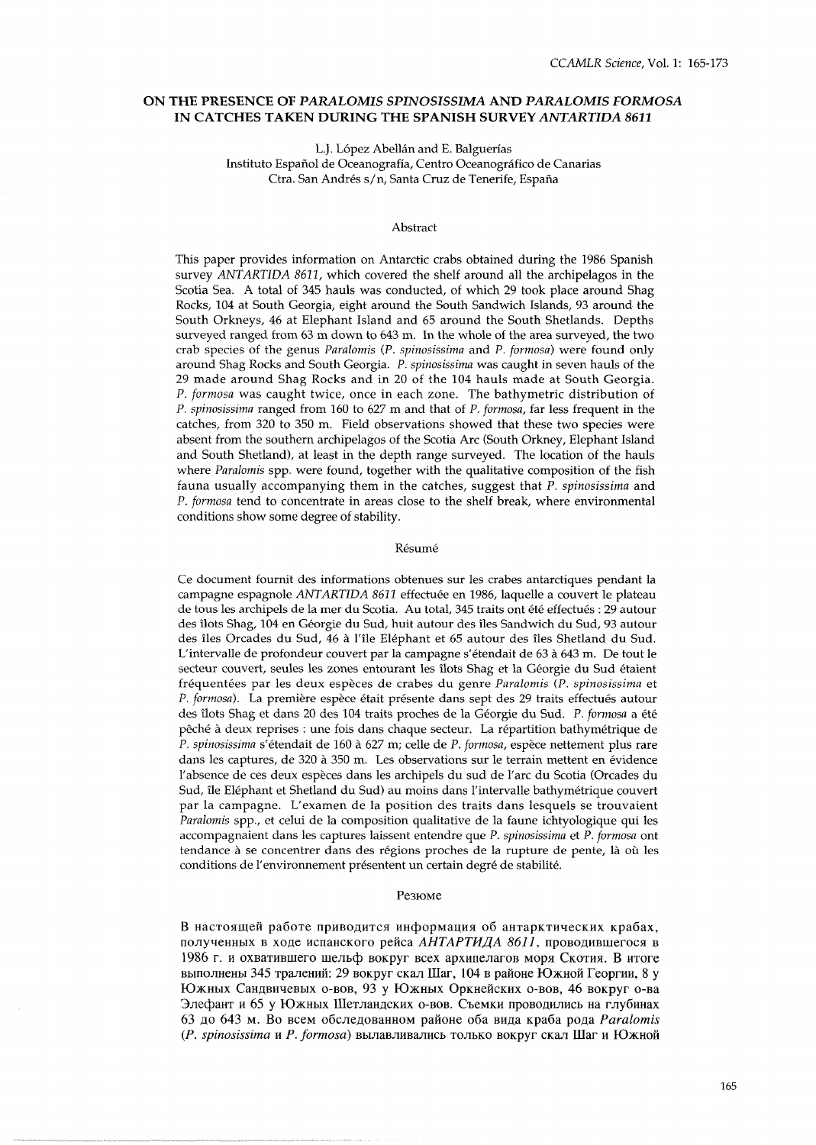# **ON THE PRESENCE OF** *PARALOMIS SPINOSISSIMA* **AND** *PARALOMIS FORMOSA*  **IN CATCHES TAKEN DURING THE SPANISH SURVEY** *ANTART'A* **8611**

L.J. López Abellán and E. Balguerías

Instituto Español de Oceanografía, Centro Oceanográfico de Canarias Ctra. San Andrés s/n, Santa Cruz de Tenerife, España

#### Abstract

This paper provides information on Antarctic crabs obtained during the 1986 Spanish survey *ANTARTIDA 8611*, which covered the shelf around all the archipelagos in the Scotia Sea. A total of 345 hauls was conducted, of which 29 took place around Shag Rocks, 104 at South Georgia, eight around the South Sandwich Islands, 93 around the South Orkneys, 46 at Elephant Island and 65 around the South Shetlands. Depths surveyed ranged from 63 m down to 643 m. In the whole of the area surveyed, the two crab species of the genus *Paralomis* (P. *spinosissima* and *P. formosa)* were found only around Shag Rocks and South Georgia. *P. spinosissima* was caught in seven hauls of the 29 made around Shag Rocks and in 20 of the 104 hauls made at South Georgia. *P. formosa* was caught twice, once in each zone. The bathymetric distribution of *P. spinosissima* ranged from 160 to 627 m and that of P. *formosa,* far less frequent in the catches, from 320 to 350 m. Field observations showed that these two species were absent from the southern archipelagos of the Scotia Arc (South Orkney, Elephant Island and South Shetland), at least in the depth range surveyed. The location of the hauls where *Paralomis* spp. were found, together with the qualitative composition of the fish fauna usually accompanying them in the catches, suggest that P. *spinosissima* and *P. formosa* tend to concentrate in areas close to the shelf break, where environmental conditions show some degree of stability.

#### Résumé

Ce document fournit des informations obtenues sur les crabes antarctiques pendant la campagne espagnole *ANTARTIDA* 8611 effectuee en 1986, laquelle a couvert le plateau de tous les archipels de la mer du Scotia. Au total, 345 traits ont été effectués : 29 autour des ilots Shag, 104 en Georgie du Sud, huit autour des iles Sandwich du Sud, 93 autour des iles Orcades du Sud, 46 a l'ile Elephant et 65 autour des iles Shetland du Sud. L'intervalle de profondeur couvert par la campagne s'etendait de 63 a 643 m. De tout le secteur couvert, seules les zones entourant les îlots Shag et la Géorgie du Sud étaient fréquentées par les deux espèces de crabes du genre Paralomis (P. spinosissima et *P. formosa*). La première espèce était présente dans sept des 29 traits effectués autour des ilots Shag et dans 20 des 104 traits proches de la Georgie du Sud. P. *formosa* a et6 pêché à deux reprises : une fois dans chaque secteur. La répartition bathymétrique de *P. spinosissima* s'etendait de 160 a 627 m; celle de P. *formosa,* espece nettement plus rare dans les captures, de 320 à 350 m. Les observations sur le terrain mettent en évidence l'absence de ces deux especes dans les archipels du sud de l'arc du Scotia (Orcades du Sud, ile Elephant et Shetland du Sud) au moins dans l'intervalle bathymetrique couvert par la campagne. L'examen de la position des traits dans lesquels se trouvaient *Paralomis* spp., et celui de la composition qualitative de la faune ichtyologique qui les accompagnaient dans les captures laissent entendre que *P. spinosissima* et *P. formosa* ont tendance à se concentrer dans des régions proches de la rupture de pente, là où les conditions de l'environnement présentent un certain degré de stabilité.

## Резюме

В настоящей работе приводится информация об антарктических крабах, полученных в ходе испанского рейса АНТАРТИДА 8611, проводившегося в 1986 г. и охватившего шельф вокруг всех архипелагов моря Скотия. В итоге выполнены 345 тралений: 29 вокруг скал Шаг, 104 в районе Южной Георгии, 8 у Южных Сандвичевых о-вов, 93 у Южных Оркнейских о-вов, 46 вокруг о-ва Элефант и 65 у Южных Шетландских о-вов. Съемки проводились на глубинах 63 A0 643 M. B0 BCeM O~CJI~AOB~HHOM pafi0He 06a BllAa ~pa6a POAa *PUrUlomiS (P. spinosissima и P. formosa)* вылавливались только вокруг скал Шаг и Южной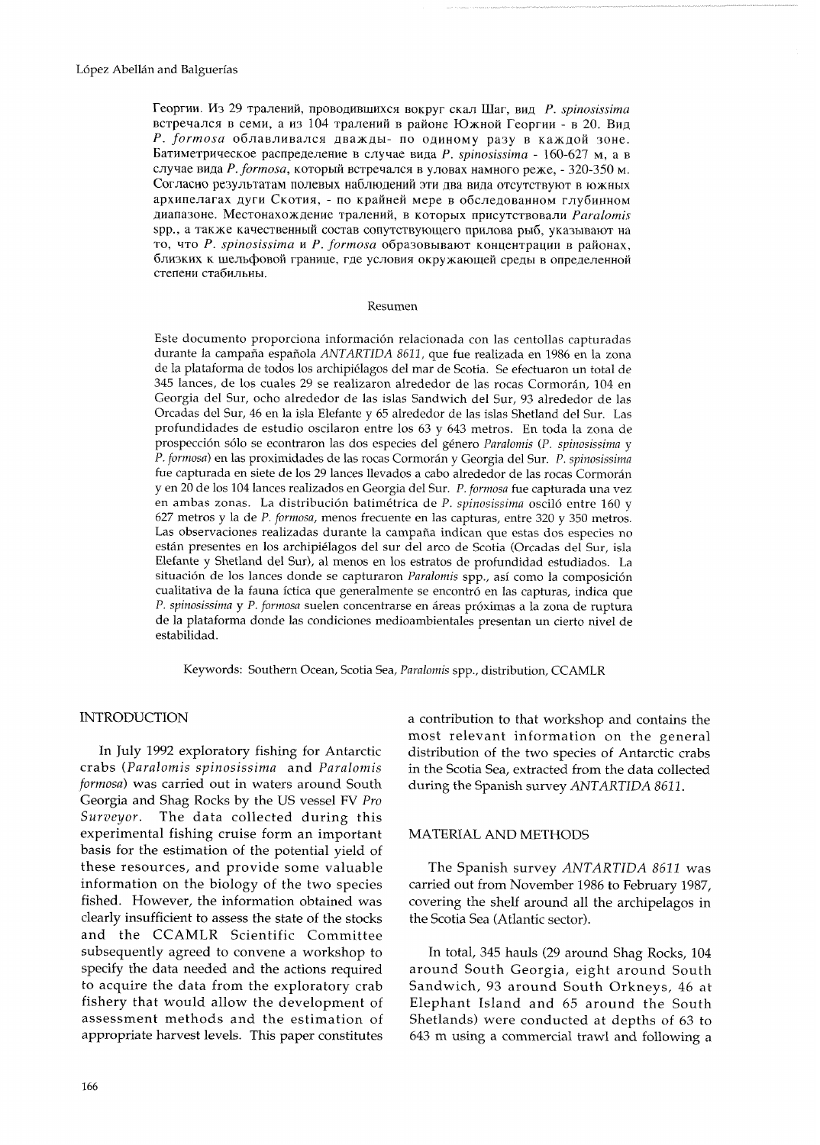Георгии. Из 29 тралений, проводившихся вокруг скал Шаг, вид P. spinosissima встречался в семи, а из 104 тралений в районе Южной Георгии - в 20. Вид P. formosa облавливался дважды- по одиному разу в каждой зоне. Батиметрическое распределение в случае вида  $P$ . spinosissima - 160-627 м, а в случае вида Р. formosa, который встречался в уловах намного реже, - 320-350 м. Согласно результатам полевых наблюдений эти два вида отсутствуют в южных архипелагах дуги Скотия, - по крайней мере в обследованном глубинном диапазоне. Местонахождение тралений, в которых присутствовали Paralomis spp., а также качественный состав сопутствующего прилова рыб, указывают на то, что P. spinosissima и P. formosa образовывают концентрации в районах, близких к шельфовой границе, где условия окружающей среды в определенной степени стабильны.

#### Resumen

Este documento proporciona información relacionada con las centollas capturadas durante la campaña española ANTARTIDA 8611, que fue realizada en 1986 en la zona de la plataforma de todos los archipiélagos del mar de Scotia. Se efectuaron un total de 345 lances, de los cuales 29 se realizaron alrededor de las rocas Cormorán, 104 en Georgia del Sur, ocho alrededor de las islas Sandwich del Sur, 93 alrededor de las Orcadas del Sur, 46 en la isla Elefante y 65 alrededor de las islas Shetland del Sur. Las profundidades de estudio oscilaron entre los 63 y 643 metros. En toda la zona de prospección sólo se econtraron las dos especies del género Paralomis (P. spinosissima y P. formosa) en las proximidades de las rocas Cormorán y Georgia del Sur. P. spinosissima fue capturada en siete de los 29 lances llevados a cabo alrededor de las rocas Cormorán y en 20 de los 104 lances realizados en Georgia del Sur. P. formosa fue capturada una vez en ambas zonas. La distribución batimétrica de  $P$ . spinosissima osciló entre 160 y 627 metros y la de P. formosa, menos frecuente en las capturas, entre 320 y 350 metros. Las observaciones realizadas durante la campaña indican que estas dos especies no están presentes en los archipiélagos del sur del arco de Scotia (Orcadas del Sur, isla Elefante y Shetland del Sur), al menos en los estratos de profundidad estudiados. La situación de los lances donde se capturaron Paralomis spp., así como la composición cualitativa de la fauna íctica que generalmente se encontró en las capturas, indica que P. spinosissima y P. formosa suelen concentrarse en áreas próximas a la zona de ruptura de la plataforma donde las condiciones medioambientales presentan un cierto nivel de estabilidad.

Keywords: Southern Ocean, Scotia Sea, Paralomis spp., distribution, CCAMLR

#### **INTRODUCTION**

In July 1992 exploratory fishing for Antarctic crabs (Paralomis spinosissima and Paralomis formosa) was carried out in waters around South Georgia and Shag Rocks by the US vessel FV Pro Surveyor. The data collected during this experimental fishing cruise form an important basis for the estimation of the potential yield of these resources, and provide some valuable information on the biology of the two species fished. However, the information obtained was clearly insufficient to assess the state of the stocks and the CCAMLR Scientific Committee subsequently agreed to convene a workshop to specify the data needed and the actions required to acquire the data from the exploratory crab fishery that would allow the development of assessment methods and the estimation of appropriate harvest levels. This paper constitutes

166

a contribution to that workshop and contains the most relevant information on the general distribution of the two species of Antarctic crabs in the Scotia Sea, extracted from the data collected during the Spanish survey ANTARTIDA 8611.

### MATERIAL AND METHODS

The Spanish survey ANTARTIDA 8611 was carried out from November 1986 to February 1987, covering the shelf around all the archipelagos in the Scotia Sea (Atlantic sector).

In total, 345 hauls (29 around Shag Rocks, 104 around South Georgia, eight around South Sandwich, 93 around South Orkneys, 46 at Elephant Island and 65 around the South Shetlands) were conducted at depths of 63 to 643 m using a commercial trawl and following a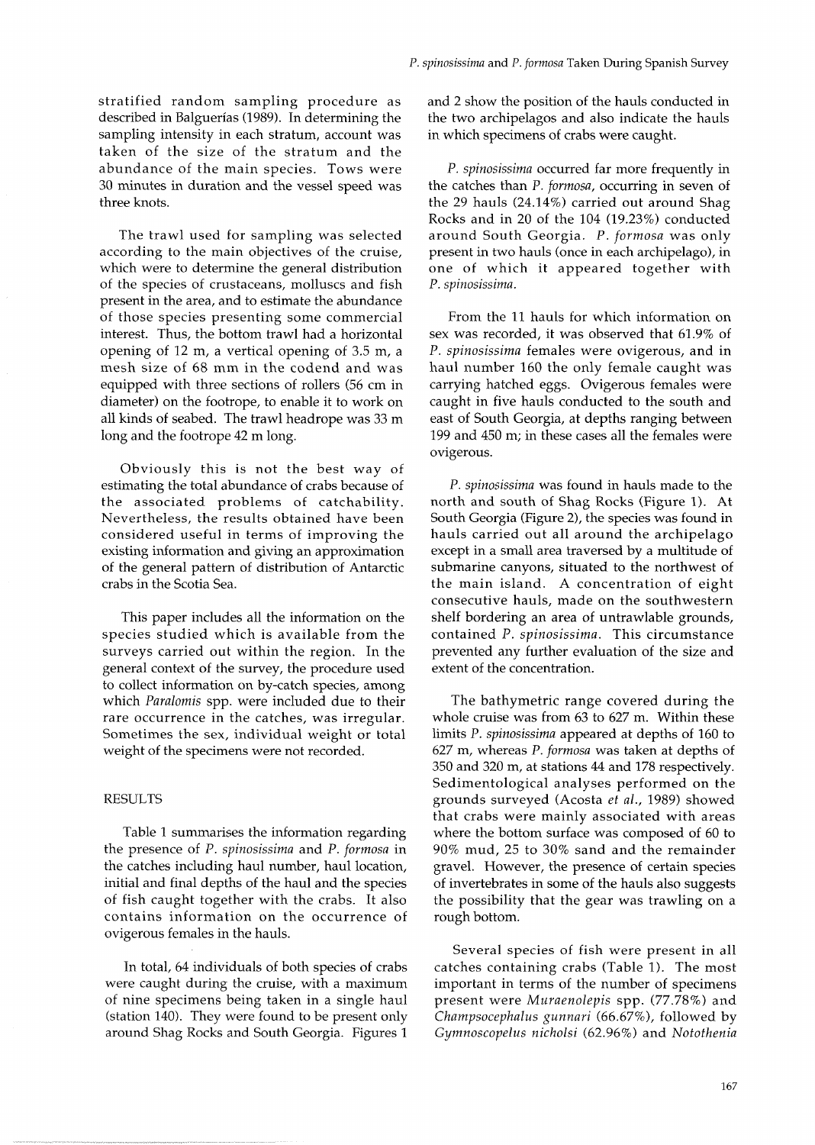stratified random sampling procedure as described in Balguerias (1989). In determining the sampling intensity in each stratum, account was taken of the size of the stratum and the abundance of the main species. Tows were 30 minutes in duration and the vessel speed was three knots.

The trawl used for sampling was selected according to the main objectives of the cruise, which were to determine the general distribution of the species of crustaceans, molluscs and fish present in the area, and to estimate the abundance of those species presenting some commercial interest. Thus, the bottom trawl had a horizontal opening of 12 m, a vertical opening of 3.5 m, a mesh size of 68 mm in the codend and was equipped with three sections of rollers (56 cm in diameter) on the footrope, to enable it to work on all kinds of seabed. The trawl headrope was 33 m long and the footrope 42 m long.

Obviously this is not the best way of estimating the total abundance of crabs because of the associated problems of catchability. Nevertheless, the results obtained have been considered useful in terms of improving the existing information and giving an approximation of the general pattern of distribution of Antarctic crabs in the Scotia Sea.

This paper includes all the information on the species studied which is available from the surveys carried out within the region. In the general context of the survey, the procedure used to collect information on by-catch species, among which *Paralomis* spp. were included due to their rare occurrence in the catches, was irregular. Sometimes the sex, individual weight or total weight of the specimens were not recorded.

#### RESULTS

Table 1 summarises the information regarding the presence of P. *spinosissima* and *P. formosa* in the catches including haul number, haul location, initial and final depths of the haul and the species of fish caught together with the crabs. It also contains information on the occurrence of ovigerous females in the hauls.

In total, 64 individuals of both species of crabs were caught during the cruise, with a maximum of nine specimens being taken in a single haul (station 140). They were found to be present only around Shag Rocks and South Georgia. Figures 1

and 2 show the position of the hauls conducted in the two archipelagos and also indicate the hauls in which specimens of crabs were caught.

*P. spinosissima* occurred far more frequently in the catches than P. *formosa,* occurring in seven of the 29 hauls (24.14%) carried out around Shag Rocks and in 20 of the 104 (19.23%) conducted around South Georgia. P. *formosa* was only present in two hauls (once in each archipelago), in one of which it appeared together with P. *spinosissima.* 

From the 11 hauls for which information on sex was recorded, it was observed that 61.9% of P. *spinosissima* females were ovigerous, and in haul number 160 the only female caught was carrying hatched eggs. Ovigerous females were caught in five hauls conducted to the south and east of South Georgia, at depths ranging between 199 and 450 m; in these cases all the females were ovigerous.

*P. spinosissima* was found in hauls made to the north and south of Shag Rocks (Figure 1). At South Georgia (Figure 2), the species was found in hauls carried out all around the archipelago except in a small area traversed by a multitude of submarine canyons, situated to the northwest of the main island. A concentration of eight consecutive hauls, made on the southwestern shelf bordering an area of untrawlable grounds, contained P. *spinosissima.* This circumstance prevented any further evaluation of the size and extent of the concentration.

The bathymetric range covered during the whole cruise was from 63 to 627 m. Within these limits P. *spinosissima* appeared at depths of 160 to 627 m, whereas P. *formosa* was taken at depths of 350 and 320 m, at stations 44 and 178 respectively. Sedimentological analyses performed on the grounds surveyed (Acosta *et al.,* 1989) showed that crabs were mainly associated with areas where the bottom surface was composed of 60 to 90% mud, 25 to 30% sand and the remainder gravel. However, the presence of certain species of invertebrates in some of the hauls also suggests the possibility that the gear was trawling on a rough bottom.

Several species of fish were present in all catches containing crabs (Table 1). The most important in terms of the number of specimens present were *Muraenolepis* spp. (77.78%) and *Ckampsocepkalus gunnari* (66.67%), followed by *Gymnoscopelus nickolsi* (62.96%) and *Nototkenia*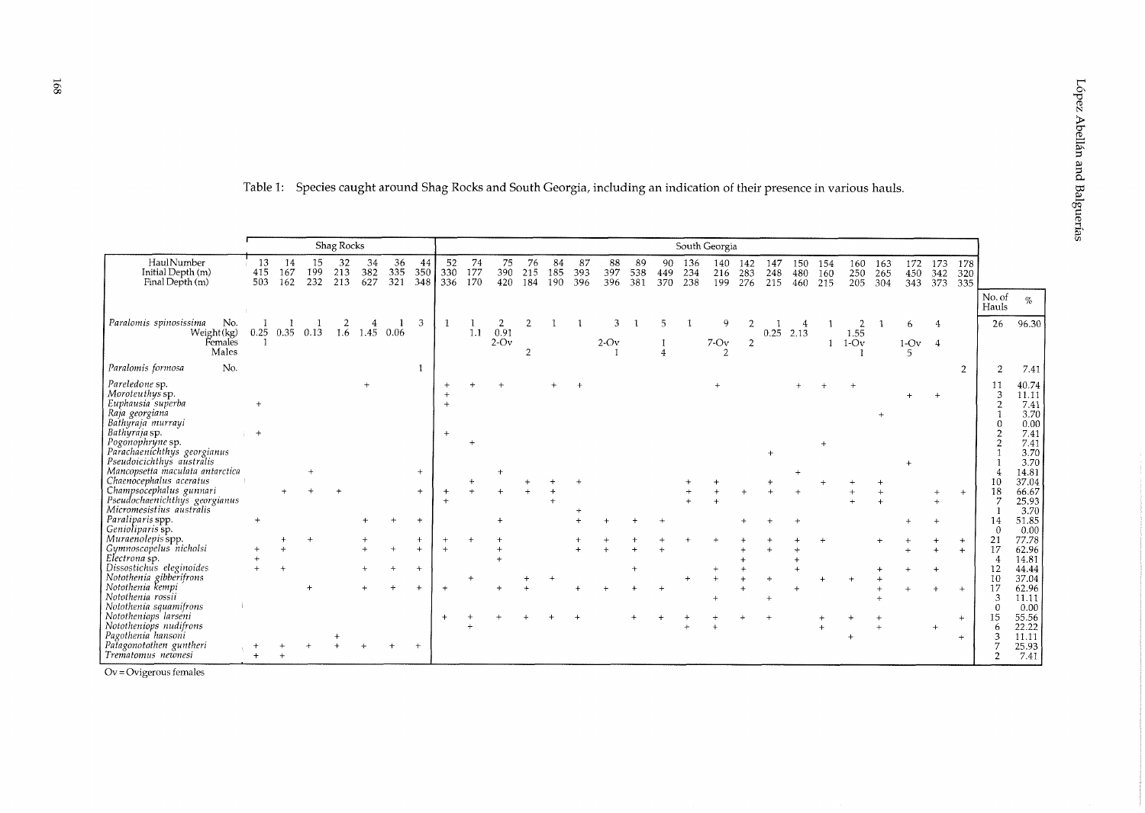|                                                                                               |                  |                  |                  | Shag Rocks       |                  |                  |                  | South Georgia    |                  |                  |                  |                  |                  |                  |                   |                  |                   |                   |                   |                   |                   |                   |                   |                   |                   |                   |                   |                     |                                        |
|-----------------------------------------------------------------------------------------------|------------------|------------------|------------------|------------------|------------------|------------------|------------------|------------------|------------------|------------------|------------------|------------------|------------------|------------------|-------------------|------------------|-------------------|-------------------|-------------------|-------------------|-------------------|-------------------|-------------------|-------------------|-------------------|-------------------|-------------------|---------------------|----------------------------------------|
| HaulNumber<br>Initial Depth (m)<br>Final Depth (m)                                            | 13<br>415<br>503 | 14<br>167<br>162 | 15<br>199<br>232 | 32<br>213<br>213 | 34<br>382<br>627 | 36<br>335<br>321 | 44<br>350<br>348 | 52<br>330<br>336 | 74<br>177<br>170 | 75<br>390<br>420 | 76<br>215<br>184 | 84<br>185<br>190 | 87<br>393<br>396 | 88<br>397<br>396 | -89<br>538<br>381 | 90<br>449<br>370 | 136<br>234<br>238 | 140<br>216<br>199 | 142<br>283<br>276 | 147<br>248<br>215 | 150<br>480<br>460 | 154<br>160<br>215 | 160<br>250<br>205 | 163<br>265<br>304 | 172<br>450<br>343 | 173<br>342<br>373 | 178<br>320<br>335 |                     |                                        |
|                                                                                               |                  |                  |                  |                  |                  |                  |                  |                  |                  |                  |                  |                  |                  |                  |                   |                  |                   |                   |                   |                   |                   |                   |                   |                   |                   |                   |                   | No. of<br>Hauls     | $\%$                                   |
| Paralomis spinosissima<br>No.                                                                 |                  |                  |                  |                  |                  |                  | 3                |                  |                  |                  |                  |                  |                  |                  |                   |                  |                   | Q                 |                   |                   |                   |                   |                   |                   | 6                 |                   |                   | 26                  | 96.30                                  |
| Weight(kg)<br>Females<br>Males                                                                | 0.25             | 0.35             | 0.13             | 1.6              |                  | 1.45 0.06        |                  |                  | 1.1              | 0.91<br>$2-Ov$   | 2                |                  |                  | $2-Ov$           |                   | $\overline{4}$   |                   | $7-0v$            | $\overline{2}$    |                   | $0.25$ 2.13       |                   | 1.55<br>$1-Ov$    |                   | $1-Ov$ 4          |                   |                   |                     |                                        |
| No.<br>Paralomis formosa                                                                      |                  |                  |                  |                  |                  |                  |                  |                  |                  |                  |                  |                  |                  |                  |                   |                  |                   |                   |                   |                   |                   |                   |                   |                   |                   |                   | $\overline{2}$    | $\overline{2}$      | 7.41                                   |
| Pareledone sp.<br>Moroteuthys sp.<br>Euphausia superba<br>Raja georgiana<br>Bathyraja murrayi |                  |                  |                  |                  |                  |                  |                  |                  |                  |                  |                  |                  |                  |                  |                   |                  |                   |                   |                   |                   |                   |                   |                   |                   |                   |                   |                   | 11<br>3<br>$\Omega$ | 40.74<br>11.11<br>7.41<br>3.70<br>0.00 |
| Bathyraja sp.<br>Pogonophryne sp.<br>Parachaenichthys georgianus<br>Pseudoicichthys australis | $+$              |                  |                  |                  |                  |                  |                  |                  |                  |                  |                  |                  |                  |                  |                   |                  |                   |                   |                   |                   |                   |                   |                   |                   |                   |                   |                   | $\overline{2}$      | 7.41<br>7.41<br>3.70<br>3.70           |
| Mancopsetta maculata antarctica<br>Chaenocephalus aceratus                                    |                  |                  |                  |                  |                  |                  |                  |                  |                  |                  |                  |                  |                  |                  |                   |                  |                   |                   |                   |                   |                   |                   |                   |                   |                   |                   |                   | 10                  | 14.81<br>37.04                         |
| Champsocephalus gunnari<br>Pseudochaenichthys georgianus<br>Micromesistius australis          |                  |                  |                  |                  |                  |                  |                  |                  |                  |                  |                  |                  |                  |                  |                   |                  |                   |                   |                   |                   |                   |                   |                   |                   |                   |                   | $+$               | 18                  | 66.67<br>25.93<br>3.70                 |
| Paraliparis spp.<br>Genioliparis sp.                                                          |                  |                  |                  |                  |                  |                  |                  |                  |                  |                  |                  |                  |                  |                  |                   |                  |                   |                   |                   |                   |                   |                   |                   |                   |                   |                   |                   | 14<br>$\theta$      | 51.85<br>0.00                          |
| Muraenolepis spp.                                                                             |                  |                  |                  |                  |                  |                  |                  |                  |                  |                  |                  |                  |                  |                  |                   |                  |                   |                   |                   |                   |                   |                   |                   |                   |                   |                   | $+$               | 21                  | 77.78                                  |
| Gymnoscopelus nicholsi                                                                        |                  |                  |                  |                  |                  |                  |                  | $+$              |                  |                  |                  |                  |                  |                  |                   |                  |                   |                   |                   |                   |                   |                   |                   |                   |                   |                   |                   | 17                  | 62.96                                  |
| Electrona sp.<br>Dissostichus eleginoides                                                     |                  |                  |                  |                  |                  |                  |                  |                  |                  |                  |                  |                  |                  |                  |                   |                  |                   |                   |                   |                   |                   |                   |                   |                   |                   |                   |                   | 4<br>12             | 14.81<br>44.44                         |
| Notothenia gibberifrons                                                                       |                  |                  |                  |                  |                  |                  |                  |                  |                  |                  |                  |                  |                  |                  |                   |                  |                   |                   |                   |                   |                   |                   |                   |                   |                   |                   |                   | 10                  | 37.04                                  |
| Notothenia kempi<br>Notothenia rossii<br>Notothenia squamifrons                               |                  |                  |                  |                  |                  |                  |                  |                  |                  |                  |                  |                  |                  |                  |                   |                  |                   |                   |                   |                   |                   |                   |                   |                   |                   |                   |                   | 17<br>3<br>$\Omega$ | 62.96<br>11.11<br>0.00                 |
| Nototheniops larseni<br>Nototheniops nudifrons<br>Pagothenia hansoni                          |                  |                  |                  |                  |                  |                  |                  |                  |                  |                  |                  |                  |                  |                  |                   |                  |                   |                   |                   |                   |                   |                   |                   |                   |                   |                   | $+$<br>$+$        | 15<br>-6<br>3       | 55.56<br>22.22<br>11.11                |
| Patagonotothen guntheri<br>Trematomus newnesi                                                 |                  |                  |                  |                  |                  |                  |                  |                  |                  |                  |                  |                  |                  |                  |                   |                  |                   |                   |                   |                   |                   |                   |                   |                   |                   |                   |                   | n                   | 25.93<br>7.41                          |

Table 1: Species caught around Shag Rocks and South Georgia, including an indication of their presence in various hauls.

 $Ov = Ovigenous females$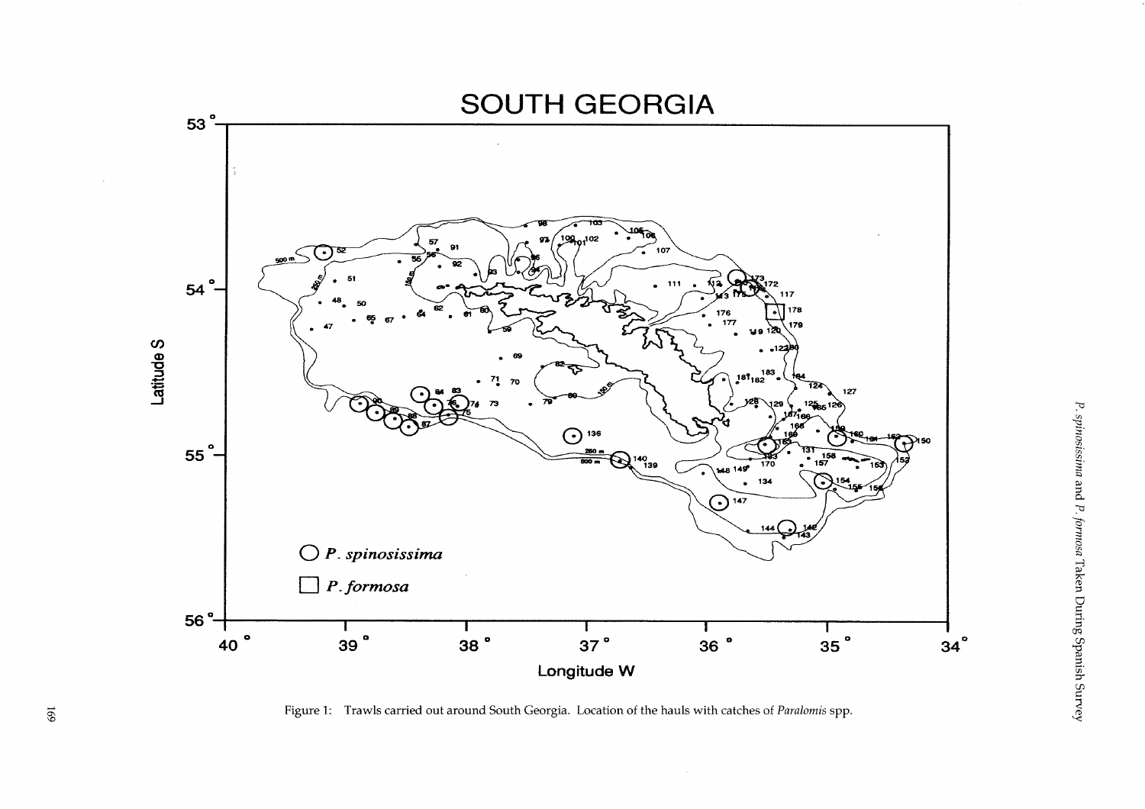

Figure 1: Trawls carried out around South Georgia. Location of the hauls with catches of *Paralomis* spp.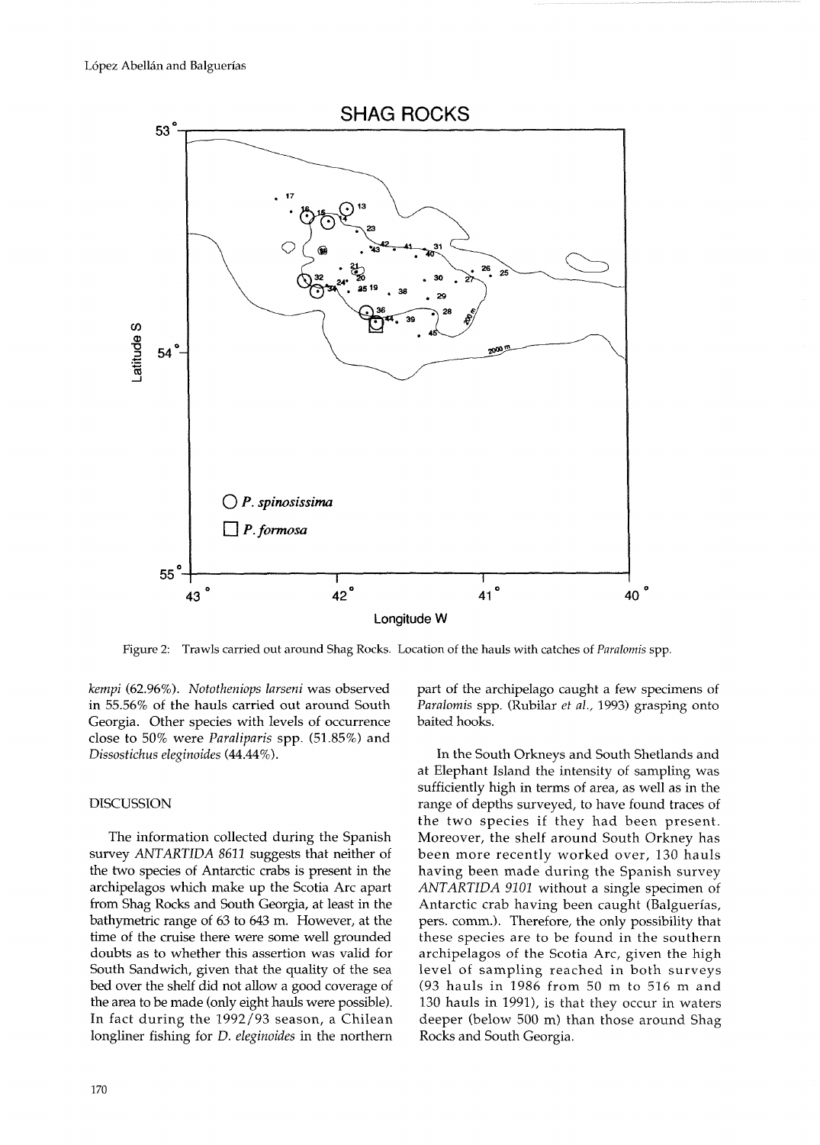

Figure 2: Trawls carried out around Shag Rocks. Location of the hauls with catches of *Paralomis* spp.

kempi (62.96%). Nototheniops larseni was observed in 55.56% of the hauls carried out around South Georgia. Other species with levels of occurrence close to 50% were Pavaliparis spp. (51.85%) and Dissostichus eleginoides (44.44%).

## DISCUSSION

The information collected during the Spanish survey ANTARTIDA 8611 suggests that neither of the two species of Antarctic crabs is present in the archipelagos which make up the Scotia Arc apart from Shag Rocks and South Georgia, at least in the bathyrnetric range of 63 to 643 m. However, at the time of the cruise there were some well grounded doubts as to whether this assertion was valid for South Sandwich, given that the quality of the sea bed over the shelf did not allow a good coverage of the area to be made (only eight hauls were possible). In fact during the 1992/93 season, a Chilean longliner fishing for *D. eleginoides* in the northern

170

part of the archipelago caught a few specimens of Paralomis spp. (Rubilar et al., 1993) grasping onto baited hooks.

In the South Orkneys and South Shetlands and at Elephant Island the intensity of sampling was sufficiently high in terms of area, as well as in the range of depths surveyed, to have found traces of the two species if they had been present. Moreover, the shelf around South Orkney has been more recently worked over, 130 hauls having been made during the Spanish survey ANTARTIDA 9101 without a single specimen of Antarctic crab having been caught (Balguerias, pers. comm.). Therefore, the only possibility that these species are to be found in the southern archipelagos of the Scotia Arc, given the high level of sampling reached in both surveys (93 hauls in 1986 from 50 m to 516 m and 130 hauls in 1991), is that they occur in waters deeper (below 500 m) than those around Shag Rocks and South Georgia.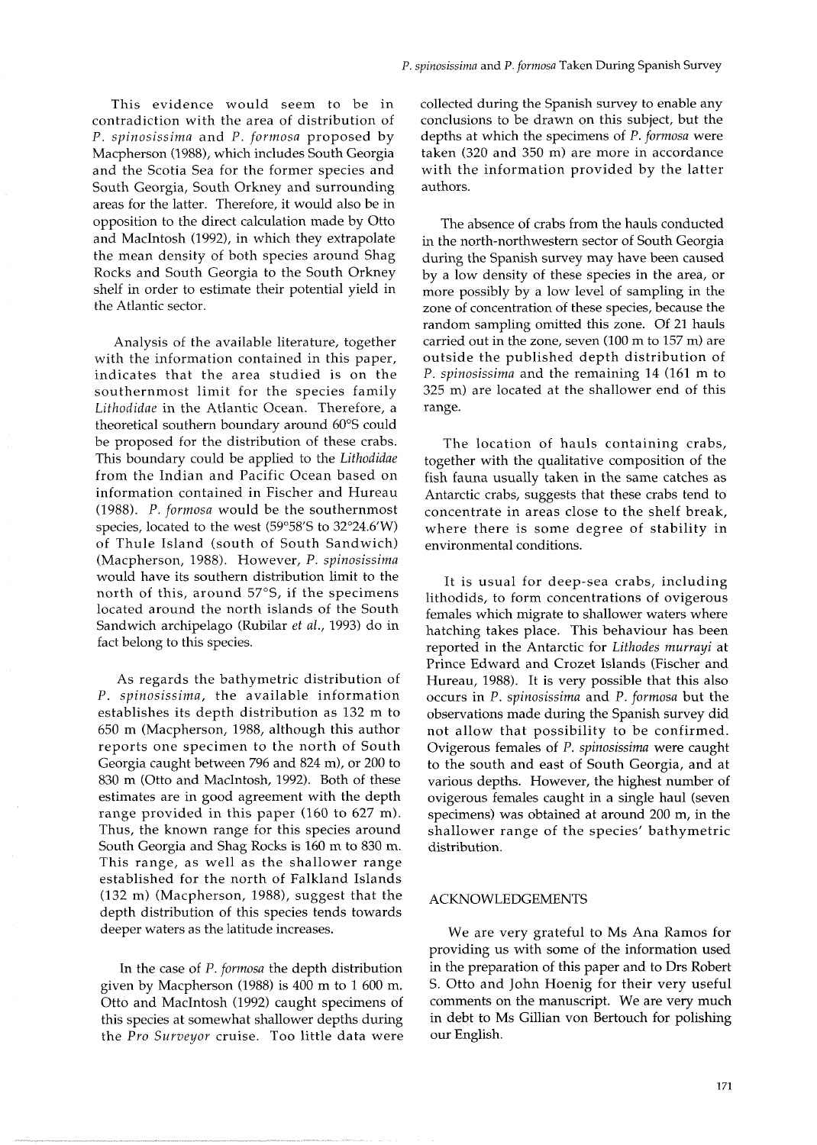This evidence would seem to be in contradiction with the area of distribution of P. *spinosissima* and *P. formosa* proposed by Macpherson (1988), which includes South Georgia and the Scotia Sea for the former species and South Georgia, South Orkney and surrounding areas for the latter. Therefore, it would also be in opposition to the direct calculation made by Otto and MacIntosh (1992), in which they extrapolate the mean density of both species around Shag Rocks and South Georgia to the South Orkney shelf in order to estimate their potential yield in the Atlantic sector.

Analysis of the available literature, together with the information contained in this paper, indicates that the area studied is on the southernmost limit for the species family *Lithodidae* in the Atlantic Ocean. Therefore, a theoretical southern boundary around 60°S could be proposed for the distribution of these crabs. This boundary could be applied to the *Litkodidae*  from the Indian and Pacific Ocean based on information contained in Fischer and Hureau (1988). P. *formosa* would be the southernmost species, located to the west (59°58'S to  $32^{\circ}24.6'W$ ) of Thule Island (south of South Sandwich) (Macpherson, 1988). However, P. *spinosissima*  would have its southern distribution limit to the north of this, around 57"S, if the specimens located around the north islands of the South Sandwich archipelago (Rubilar *et* al., 1993) do in fact belong to this species.

As regards the bathymetric distribution of P. *spinosissima,* the available information establishes its depth distribution as 132 m to 650 m (Macpherson, 1988, although this author reports one specimen to the north of South Georgia caught between 796 and 824 m), or 200 to 830 m (Otto and MacIntosh, 1992). Both of these estimates are in good agreement with the depth range provided in this paper (160 to 627 m). Thus, the known range for this species around South Georgia and Shag Rocks is 160 m to 830 m. This range, as well as the shallower range established for the north of Falkland Islands (132 m) (Macpherson, 1988), suggest that the depth distribution of this species tends towards deeper waters as the latitude increases.

In the case of P. *formosa* the depth distribution given by Macpherson (1988) is 400 m to 1 600 m. Otto and MacIntosh (1992) caught specimens of this species at somewhat shallower depths during the *Pro Surveyor* cruise. Too little data were collected during the Spanish survey to enable any conclusions to be drawn on this subject, but the depths at which the specimens of P. *formosa* were taken (320 and 350 m) are more in accordance with the information provided by the latter authors.

The absence of crabs from the hauls conducted in the north-northwestern sector of South Georgia during the Spanish survey may have been caused by a low density of these species in the area, or more possibly by a low level of sampling in the zone of concentration of these species, because the random sampling omitted this zone. Of 21 hauls carried out in the zone, seven (100 m to 157 m) are outside the published depth distribution of P. *spinosissima* and the remaining 14 (161 m to 325 m) are located at the shallower end of this range.

The location of hauls containing crabs, together with the qualitative composition of the fish fauna usually taken in the same catches as Antarctic crabs, suggests that these crabs tend to concentrate in areas close to the shelf break, where there is some degree of stability in environmental conditions.

It is usual for deep-sea crabs, including lithodids, to form concentrations of ovigerous females which migrate to shallower waters where hatching takes place. This behaviour has been reported in the Antarctic for *Lithodes murrayi* at Prince Edward and Crozet Islands (Fischer and Hureau, 1988). It is very possible that this also occurs in P. *spinosissima* and *P. formosa* but the observations made during the Spanish survey did not allow that possibility to be confirmed. Ovigerous females of P. *spinosissima* were caught to the south and east of South Georgia, and at various depths. However, the highest number of ovigerous females caught in a single haul (seven specimens) was obtained at around 200 m, in the shallower range of the species' bathymetric distribution.

## ACKNOWLEDGEMENTS

We are very grateful to MS Ana Ramos for providing us with some of the information used in the preparation of this paper and to Drs Robert S. Otto and John Hoenig for their very useful comments on the manuscript. We are very much in debt to MS Gillian von Bertouch for polishing our English.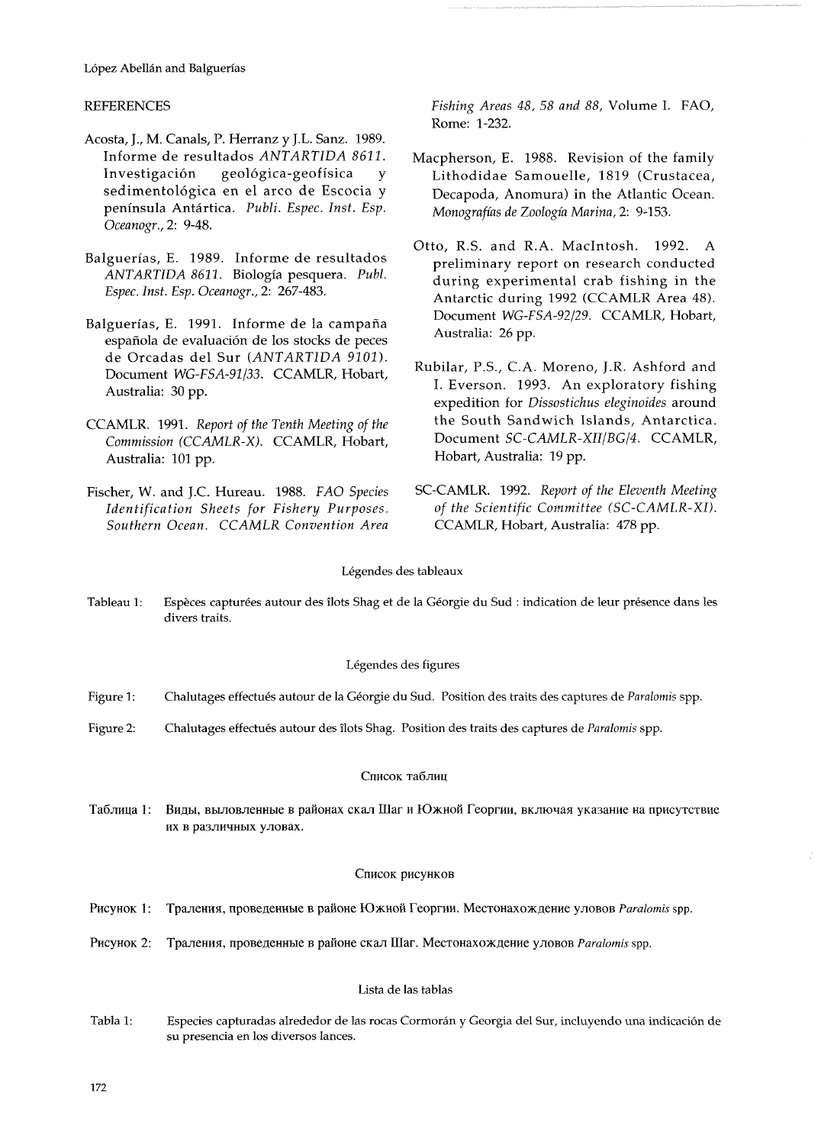# REFERENCES

- Acosta, J., M. Canals, P. Herranz y J.L. Sanz. 1989. Informe de resultados *ANTARTIDA 8621.*  Investigacion geologica-geofisica *y*  sedimentológica en el arco de Escocia y peninsula Antartica. *Publi. Espec. Inst. Esp. Oceanogr., 2:* 9-48.
- Balguerias, E. 1989. Informe de resultados *ANTARTIDA 8611.* Biologia pesquera. *Publ. Espec. Inst. Esp. Oceanogr.,* 2: 267-483.
- Balguerías, E. 1991. Informe de la campaña española de evaluación de los stocks de peces de Orcadas del Sur *(ANTARTIDA 9101).*  Document *WG-FSA-91/33.* CCAMLR, Hobart, Australia: 30 pp.
- CCAMLR. 1991. *Report of the Tenth Meeting of the Commission (CCAMLR-X).* CCAMLR, Hobart, Australia: 101 pp.
- *Southern Ocean. CCAMLR Convention Area* CCAMLR, Hobart, Australia: 478 pp.

*Fishing Areas 48, 58 and 88,* Volume *I.* FAO, Rome: 1-232.

- Macpherson, E. 1988. Revision of the family Lithodidae Samouelle, 1819 (Crustacea, Decapoda, Anomura) in the Atlantic Ocean. *Monografias de Zoologia Marina, 2:* 9-153.
- Otto, R.S. and R.A. Macintosh. 1992. A preliminary report on research conducted during experimental crab fishing in the Antarctic during 1992 (CCAMLR Area 48). Document *WG-FSA-92/29.* CCAMLR, Hobart, Australia: 26 pp.
- Rubilar, P.S., C.A. Moreno, J.R. Ashford and I. Everson. 1993. An exploratory fishing expedition for *Dissostichus eleginoides* around the South Sandwich Islands, Antarctica. Document *SC-CAMLR-XII/BG/4.* CCAMLR, Hobart, Australia: 19 pp.
- Fischer, W. and J.C. Hureau. 1988. *FAO Species* SC-CAMLR. 1992. *Report of the Eleventh Meeting Identification Sheets for Fishery Purposes. of the Scientific Committee (SC-CAMLR-XI).*

## Légendes des tableaux

Tableau 1: Espèces capturées autour des îlots Shag et de la Géorgie du Sud : indication de leur présence dans les divers traits.

## Légendes des figures

- Figure 1: Chalutages effectués autour de la Géorgie du Sud. Position des traits des captures de *Paralomis* spp.
- Figure 2: Chalutages effectués autour des îlots Shag. Position des traits des captures de *Paralomis* spp.

#### Список таблиц

Таблица 1: Виды, выловленные в районах скал Шаг и Южной Георгии, включая указание на присутствие их в различных уловах.

## Список рисунков

- Траления, проведенные в районе Южной Георгии. Местонахождение уловов Paralomis spp. Рисунок 1:
- Рисунок 2: Траления, проведенные в районе скал Шаг. Местонахождение уловов Paralomis spp.

## Lista de las tablas

Tabla 1: Especies capturadas alrededor de las rocas Cormorán y Georgia del Sur, incluyendo una indicación de su presencia en 10s diversos lances.